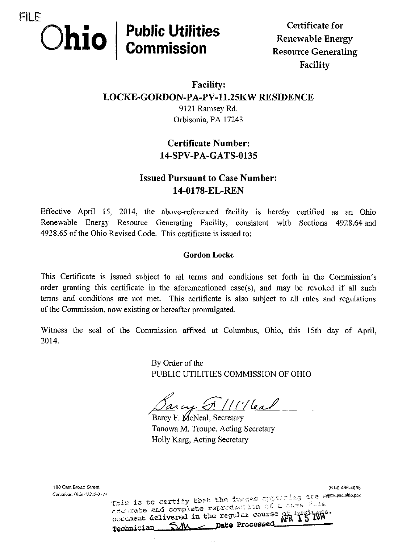

 $\mathbf{R}$ Facility

## Facility: LOCKE-GORDON-PA-PV-11.25KW RESIDENCE 9121 Ramsey Rd.

Orbisonia, PA 17243

## Certificate Number: 14-SPV-PA-GATS-0135

## **Issued Pursuant to Case Number:** 14-0178-EL-REN

Effective April 15, 2014, the above-referenced facility is hereby certified as an Ohio Renewable Energy Resource Generating Facility, consistent with Sections 4928.64 and 4928.65 of the Ohio Revised Code. This certificate is issued to:

### Gordon Locke

This Certificate is issued subject to all terms and conditions set forth in the Commission's order granting this certificate in the aforementioned case(s), and may be revoked if all such terms and conditions are not met. This certificate is also subject to all rules and regulations of the Commission, now existing or hereafter promulgated.

Witness the seal of the Commission affixed at Columbus, Ohio, this 15th day of April, 2014.

> By Order of the PUBLIC UTILITIES COMMISSION OF OHIO

 $\mathscr{Q}$  $^{\prime}/$  ( $^{\prime}/$  lead

Barcy F. McNeal, Secretary Tanowa M. Troupe, Acting Secretary Holly Karg, Acting Secretary

180 East Broad Street (614) 466-4095 Columbus. Ohio 43215-3793<br>Tais is to certify that the inages Upper-ing are awww.puc.ohio.gov accurate and complete reproduction of a case file accurate and comparison for regular course of Technician SM pate Processed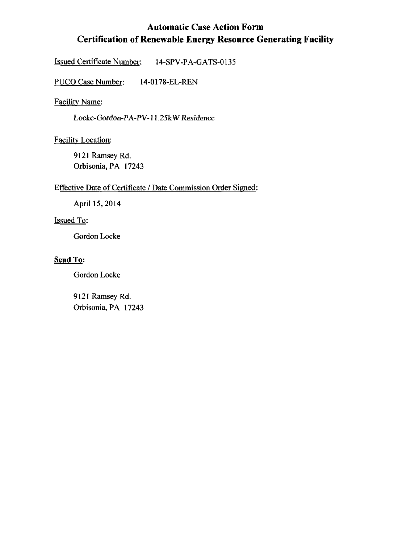## Automatic Case Action Form Certification of Renewable Energy Resource Generating Facility

 $\bar{\gamma}$ 

Issued Certificate Number: 14-SPV-PA-GATS-0135

PUCO Case Number: 14-0178-EL-REN

Facility Name:

Locke-Gordon-PA-PV-11.25kW Residence

Facility Location:

9121 Ramsey Rd. Orbisonia, PA 17243

#### Effective Date of Certificate / Date Commission Order Signed:

April 15, 2014

#### Issued To:

Gordon Locke

#### Send To:

Gordon Locke

9121 Ramsey Rd. Orbisonia, PA 17243